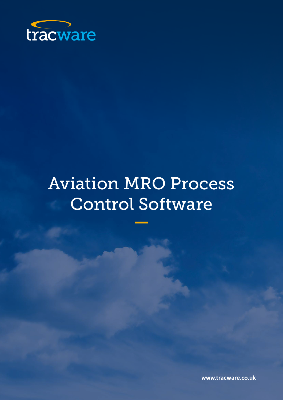

# Aviation MRO Process Control Software

**www.tracware.co.uk**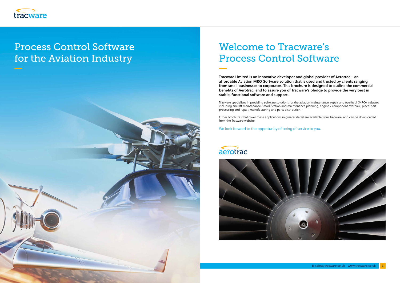

# Process Control Software for the Aviation Industry



# Welcome to Tracware's Process Control Software

Tracware Limited is an innovative developer and global provider of Aerotrac – an affordable Aviation MRO Software solution that is used and trusted by clients ranging from small businesses to corporates. This brochure is designed to outline the commercial benefits of Aerotrac, and to assure you of Tracware's pledge to provide the very best in stable, functional software and support.

Tracware specialises in providing software solutions for the aviation maintenance, repair and overhaul (MRO) industry, including aircraft maintenance / modification and maintenance planning, engine / component overhaul, piece-part processing and repair, manufacturing and parts distribution.

Other brochures that cover these applications in greater detail are available from Tracware, and can be downloaded from the Tracware website.

We look forward to the opportunity of being of service to you.

### aerotrac

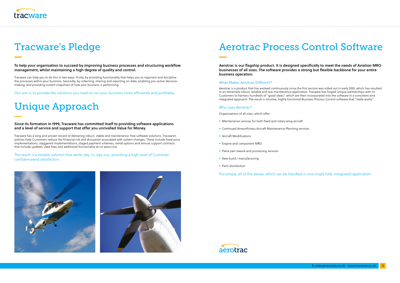

# Tracware's Pledge

To help your organisation to succeed by improving business processes and structuring workflow management, whilst maintaining a high degree of quality and control.

Tracware can help you to do this in two ways. Firstly, by providing functionality that helps you to regiment and discipline the processes within your business. Secondly, by collecting, sharing and reporting on data, enabling pro-active decisionmaking, and providing instant snapshots of how your business is performing.

Our aim is to provide the solutions you need to run your business more efficiently and profitably.

# Unique Approach

Since its formation in 1999, Tracware has committed itself to providing software applications and a level of service and support that offer you unrivalled Value for Money.

Tracware has a long and proven record of delivering robust, stable and maintenance-free software solutions. Tracware's policies help Customers reduce the financial risk and disruption associated with system changes. These include fixed price implementations, staggered implementations, staged payment schemes, rental options and annual support contracts that include updates, data fixes and additional functionality at no extra cost.

The result is a reliable solution that works day-in, day-out, providing a high level of Customer confidenceand satisfaction.



# Aerotrac Process Control Software

### Aerotrac is our flagship product. It is designed specifically to meet the needs of Aviation MRO

businesses of all sizes. The software provides a strong but flexible backbone for your entire business operation.

#### What Makes Aerotrac Different?

Aerotrac is a product that has evolved continuously since the first version was rolled out in early 2001, which has resulted in an extremely robust, reliable and low maintenance application. Tracware has forged unique partnerships with its Customers to harness hundreds of "good ideas", which are then incorporated into the software in a consistent and integrated approach. The result is intuitive, highly functional Business Process Control software that "really works".

#### Who uses Aerotrac?

Organisations of all sizes, which offer:

- Maintenance services for both fixed and rotary wing aircraft
- Continued Airworthiness Aircraft Maintenance Planning services
- Aircraft Modifications
- Engine and component MRO
- Piece part rework and processing services
- New build / manufacturing
- Parts distribution

Put simply, all of the above, which can be handled in one single fully-integrated application.

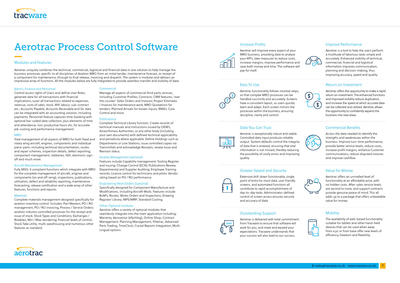#### Admin, Finance and Personnel

Control access rights of Users and de fine User Roles; generate data for all transactions with financial implications; cover all transactions related to expenses, revenue, costs of sales, stock, WiP, labour, sub-contract etc.; Accounts Payable, Accounts Receivable and GL data can be integrated with an accounting solution, including payments; Personnel feature captures time-booking with optional bar-coded data collection, plus elements of time and attendance, non-productive hours etc, for accurate job-costing and performance management.

#### **MRO**

Total management of all aspects of MRO for both fixed and rotary wing aircraft, engines, components and individual piece-parts: including technical documentation, routes and repair schemes, inspection details, defect reporting, component management, robberies, NDI, electronic signoff and much more.

#### Aircraft Maintenance Management

Fully MSG-3 compliant functions which integrate with MRO for the complete management of aircraft, engines and components (on and off-wing), inspections, publications, utilisation, defect and reliability reporting, maintenance forecasting, release certi fication and a wide array of other features, functions and reports.

#### Materials

Complete materials management designed specifically for aviation inventory control. Includes: Part Masters; PO / RO management, PO / RO invoicing, Process / Service Orders; aviation industry controlled processes for the receipt and issue of stock; Stock Types and Conditions; Exchanges / Rotables; Min / Max reordering; financial levels of control; Stock Take utility; multi-warehousing and numerous other features as standard.

#### **Commercial**

Manage all aspects of commercial third party services, including Customer Profiles; Contracts; CRM features; 'over the counter' Sales Orders and Invoices; Project Estimates / Invoices for maintenance work; MRO Quotations for tenders; Planned Arrivals for known inputs; RMA's; Core Control and more.

#### **Publications**

Complete Technical Library function. Create records of technical manuals and instructions issued by OEM's, Airworthiness Authorities, or any other body (including your own documents) with de fined technical applicability and periodicity where applicable. De fine Holdings such as Departments or Line Stations; issue controlled copies via Transmittals and acknowledge Receipts, review Issue and Revision status.

#### Quality Management (optional)

Features include Capability management; Tooling Register and issuing; Change Control (ECN); Publications Review; Departmental and Supplier Auditing; Employee Training records; Licence control for technicians and pilots; Vendor rating based on PO / RO performance.

#### Engineering Work Orders (optional)

Speci fically designed for Component Manufacture and Modi fications, including Aircraft Mods. Features include BoM's; Routes; Works Orders and Inspections; Drawing Register/ Library; MPS/MRP; Standard Costing.

#### Other Optional modules

Aerotrac o ffers a variety of optional modules that seamlessly integrate into the main application including: Warranty, Aerosector (eTechlog), Online Shop, Contract Management, Planning Management, Flitetrac, Advanced Parts Trading, TimeClock, Crystal Reports Integration, Multi-Lingual options.





Aerotrac will improve every aspect of your MRO business, providing data to analyse your KPI's, take measures to reduce costs, increase margins, improve performance and save both money and time. The software will pay for itself.

### Easy To Use

Aerotrac functionality follows intuitive steps, so that complex MRO processes can be handled succinctly and accurately. Screens have a consistent layout, so users quickly learn and adapt. Each screen mirrors the processes within the business, ensuring discipline, clarity and control.

### Data You Can Trust



Aerotrac is exceptionally robust and stable. Controlled data input produces reliable output. System defaults control the integrity of data that is entered, ensuring that vital information is not missed, thereby reducing the possibility of costly errors and improving quality.

#### Greater Speed and Security



Extensive drill-down functionality, single point of entry for most data, user friendly screens, and automated functions all contribute to rapid accomplishment of day-to-day tasks. Administrator-defined control of screen access ensures security and accuracy of data.

### Outstanding Support



Aerotrac is delivered with total commitment from Tracware to ensure that software will work for you, and meet and exceed your expectations. Tracware understands that your success will also lead to our success.





Improve Performance

Aerotrac is a tool to help the users perform a multitude of laborious tasks simply and accurately. Enhanced visibility of technical, commercial, financial and logistical information improves communication, planning and decision-making, thus improving accuracy, speed and quality.

### Return on Investment



Aerotrac offers the opportunity to make a rapid return on investment. The enhanced functions and improved visibility reduce duplication, and increase the speed at which accurate data can be collected and utilised. Aerotrac allows the opportunity to con fidently expand the business into new areas.

### Commercial Benefits



Access the data needed to identify the strengths and weaknesses within the business. Improve turn-time performance, provide better service levels, reduce costs, increase pro fit margins, enhance Customer communications, reduce disputed invoices and improve cashflow.

### Value for Money



Aerotrac offers an unrivalled level of functionality at an affordable price, with no hidden costs. After-sales service levels are second to none, and support contracts provide genuine peace of mind. This all adds up to a package that offers unbeatable value for money.

### **Mobility**



The availability of web-based functionality suitable for tablets and other hand-held devices that can be used when away from a pc or from base offer new levels of efficiency, freedom and flexibility.



## Aerotrac Process Control Software

#### Modules and Features

Aerotrac uniquely combines the technical, commercial, logistical and financial data in one solution to help manage the business processes specific to all disciplines of Aviation MRO from an initial tender, maintenance forecast, or receipt of a component for maintenance, through to final release, invoicing and dispatch. The system is modular and delivers an impressive array of functions. All the modules below are fully integrated to provide seamless transfer and visibility of data.



7